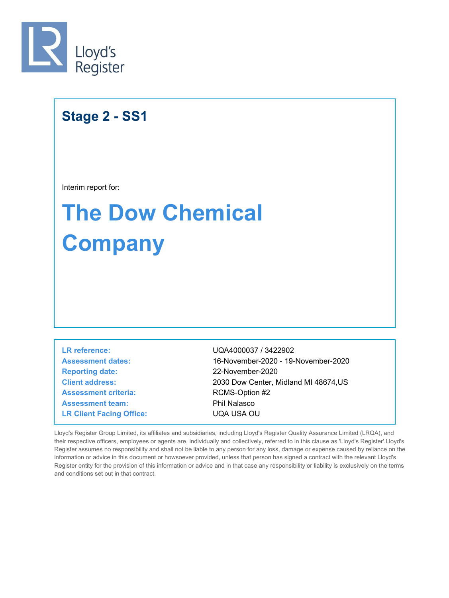

## **Stage 2 - SS1**

Interim report for:

# **The Dow Chemical Company**

**Assessment criteria:** RCMS-Option #2 **Assessment team:** Phil Nalasco **LR Client Facing Office:** UQA USA OU **LR reference:** UQA4000037 / 3422902 **Reporting date:** 22-November-2020

**Client address:** 2030 Dow Center, Midland MI 48674,US **Assessment dates:** 16-November-2020 - 19-November-2020

Lloyd's Register Group Limited, its affiliates and subsidiaries, including Lloyd's Register Quality Assurance Limited (LRQA), and their respective officers, employees or agents are, individually and collectively, referred to in this clause as 'Lloyd's Register'.Lloyd's Register assumes no responsibility and shall not be liable to any person for any loss, damage or expense caused by reliance on the information or advice in this document or howsoever provided, unless that person has signed a contract with the relevant Lloyd's Register entity for the provision of this information or advice and in that case any responsibility or liability is exclusively on the terms and conditions set out in that contract.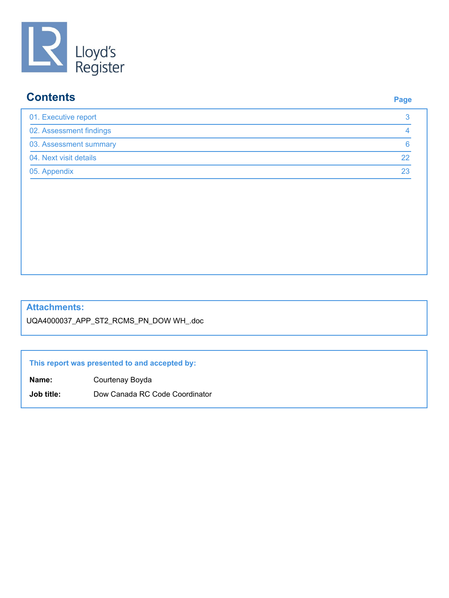

### **Contents Page**

| 01. Executive report    |    |
|-------------------------|----|
| 02. Assessment findings |    |
| 03. Assessment summary  |    |
| 04. Next visit details  |    |
| 05. Appendix            | 23 |

#### **Attachments:**

UQA4000037\_APP\_ST2\_RCMS\_PN\_DOW WH\_.doc

#### **This report was presented to and accepted by:**

**Name:** Courtenay Boyda

**Job title:** Dow Canada RC Code Coordinator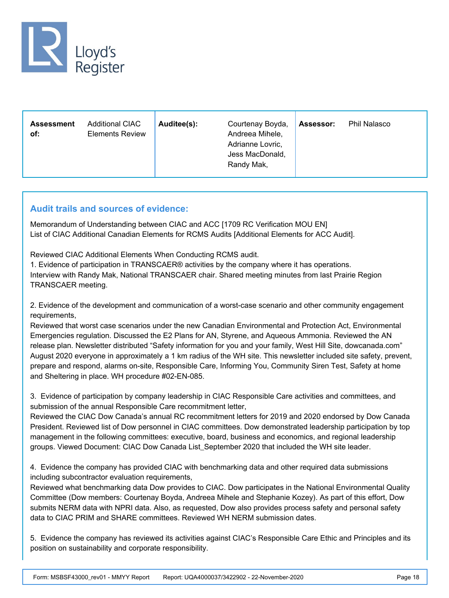

| <b>Additional CIAC</b><br><b>Assessment</b><br><b>Elements Review</b><br>of: | Auditee(s): | Courtenay Boyda,<br>Andreea Mihele,<br>Adrianne Lovric,<br>Jess MacDonald,<br>Randy Mak, | Assessor: | <b>Phil Nalasco</b> |  |
|------------------------------------------------------------------------------|-------------|------------------------------------------------------------------------------------------|-----------|---------------------|--|
|------------------------------------------------------------------------------|-------------|------------------------------------------------------------------------------------------|-----------|---------------------|--|

#### **Audit trails and sources of evidence:**

Memorandum of Understanding between CIAC and ACC [1709 RC Verification MOU EN] List of CIAC Additional Canadian Elements for RCMS Audits [Additional Elements for ACC Audit].

Reviewed CIAC Additional Elements When Conducting RCMS audit.

1. Evidence of participation in TRANSCAER® activities by the company where it has operations. Interview with Randy Mak, National TRANSCAER chair. Shared meeting minutes from last Prairie Region TRANSCAER meeting.

2. Evidence of the development and communication of a worst-case scenario and other community engagement requirements,

Reviewed that worst case scenarios under the new Canadian Environmental and Protection Act, Environmental Emergencies regulation. Discussed the E2 Plans for AN, Styrene, and Aqueous Ammonia. Reviewed the AN release plan. Newsletter distributed "Safety information for you and your family, West Hill Site, dowcanada.com" August 2020 everyone in approximately a 1 km radius of the WH site. This newsletter included site safety, prevent, prepare and respond, alarms on-site, Responsible Care, Informing You, Community Siren Test, Safety at home and Sheltering in place. WH procedure #02-EN-085.

3. Evidence of participation by company leadership in CIAC Responsible Care activities and committees, and submission of the annual Responsible Care recommitment letter,

Reviewed the CIAC Dow Canada's annual RC recommitment letters for 2019 and 2020 endorsed by Dow Canada President. Reviewed list of Dow personnel in CIAC committees. Dow demonstrated leadership participation by top management in the following committees: executive, board, business and economics, and regional leadership groups. Viewed Document: CIAC Dow Canada List\_September 2020 that included the WH site leader.

4. Evidence the company has provided CIAC with benchmarking data and other required data submissions including subcontractor evaluation requirements,

Reviewed what benchmarking data Dow provides to CIAC. Dow participates in the National Environmental Quality Committee (Dow members: Courtenay Boyda, Andreea Mihele and Stephanie Kozey). As part of this effort, Dow submits NERM data with NPRI data. Also, as requested, Dow also provides process safety and personal safety data to CIAC PRIM and SHARE committees. Reviewed WH NERM submission dates.

5. Evidence the company has reviewed its activities against CIAC's Responsible Care Ethic and Principles and its position on sustainability and corporate responsibility.